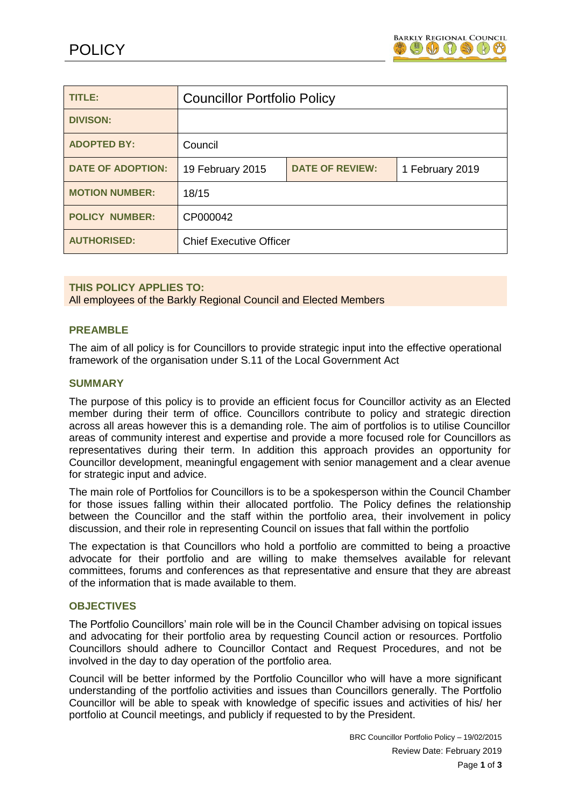

| TITLE:                   | <b>Councillor Portfolio Policy</b> |                        |                 |
|--------------------------|------------------------------------|------------------------|-----------------|
| <b>DIVISON:</b>          |                                    |                        |                 |
| <b>ADOPTED BY:</b>       | Council                            |                        |                 |
| <b>DATE OF ADOPTION:</b> | 19 February 2015                   | <b>DATE OF REVIEW:</b> | 1 February 2019 |
| <b>MOTION NUMBER:</b>    | 18/15                              |                        |                 |
| <b>POLICY NUMBER:</b>    | CP000042                           |                        |                 |
| <b>AUTHORISED:</b>       | <b>Chief Executive Officer</b>     |                        |                 |

#### **THIS POLICY APPLIES TO:**

All employees of the Barkly Regional Council and Elected Members

#### **PREAMBLE**

The aim of all policy is for Councillors to provide strategic input into the effective operational framework of the organisation under S.11 of the Local Government Act

#### **SUMMARY**

The purpose of this policy is to provide an efficient focus for Councillor activity as an Elected member during their term of office. Councillors contribute to policy and strategic direction across all areas however this is a demanding role. The aim of portfolios is to utilise Councillor areas of community interest and expertise and provide a more focused role for Councillors as representatives during their term. In addition this approach provides an opportunity for Councillor development, meaningful engagement with senior management and a clear avenue for strategic input and advice.

The main role of Portfolios for Councillors is to be a spokesperson within the Council Chamber for those issues falling within their allocated portfolio. The Policy defines the relationship between the Councillor and the staff within the portfolio area, their involvement in policy discussion, and their role in representing Council on issues that fall within the portfolio

The expectation is that Councillors who hold a portfolio are committed to being a proactive advocate for their portfolio and are willing to make themselves available for relevant committees, forums and conferences as that representative and ensure that they are abreast of the information that is made available to them.

# **OBJECTIVES**

The Portfolio Councillors' main role will be in the Council Chamber advising on topical issues and advocating for their portfolio area by requesting Council action or resources. Portfolio Councillors should adhere to Councillor Contact and Request Procedures, and not be involved in the day to day operation of the portfolio area.

Council will be better informed by the Portfolio Councillor who will have a more significant understanding of the portfolio activities and issues than Councillors generally. The Portfolio Councillor will be able to speak with knowledge of specific issues and activities of his/ her portfolio at Council meetings, and publicly if requested to by the President.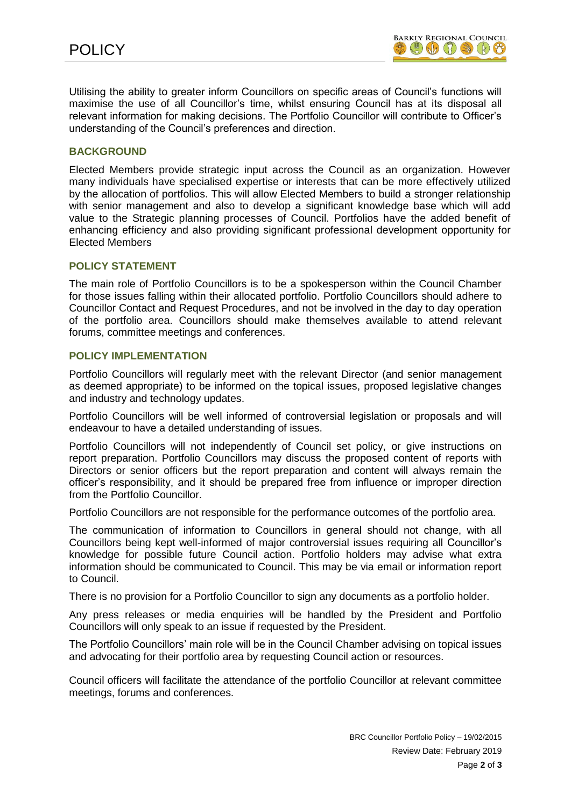Utilising the ability to greater inform Councillors on specific areas of Council's functions will maximise the use of all Councillor's time, whilst ensuring Council has at its disposal all relevant information for making decisions. The Portfolio Councillor will contribute to Officer's understanding of the Council's preferences and direction.

### **BACKGROUND**

Elected Members provide strategic input across the Council as an organization. However many individuals have specialised expertise or interests that can be more effectively utilized by the allocation of portfolios. This will allow Elected Members to build a stronger relationship with senior management and also to develop a significant knowledge base which will add value to the Strategic planning processes of Council. Portfolios have the added benefit of enhancing efficiency and also providing significant professional development opportunity for Elected Members

#### **POLICY STATEMENT**

The main role of Portfolio Councillors is to be a spokesperson within the Council Chamber for those issues falling within their allocated portfolio. Portfolio Councillors should adhere to Councillor Contact and Request Procedures, and not be involved in the day to day operation of the portfolio area. Councillors should make themselves available to attend relevant forums, committee meetings and conferences.

#### **POLICY IMPLEMENTATION**

Portfolio Councillors will regularly meet with the relevant Director (and senior management as deemed appropriate) to be informed on the topical issues, proposed legislative changes and industry and technology updates.

Portfolio Councillors will be well informed of controversial legislation or proposals and will endeavour to have a detailed understanding of issues.

Portfolio Councillors will not independently of Council set policy, or give instructions on report preparation. Portfolio Councillors may discuss the proposed content of reports with Directors or senior officers but the report preparation and content will always remain the officer's responsibility, and it should be prepared free from influence or improper direction from the Portfolio Councillor.

Portfolio Councillors are not responsible for the performance outcomes of the portfolio area.

The communication of information to Councillors in general should not change, with all Councillors being kept well-informed of major controversial issues requiring all Councillor's knowledge for possible future Council action. Portfolio holders may advise what extra information should be communicated to Council. This may be via email or information report to Council.

There is no provision for a Portfolio Councillor to sign any documents as a portfolio holder.

Any press releases or media enquiries will be handled by the President and Portfolio Councillors will only speak to an issue if requested by the President.

The Portfolio Councillors' main role will be in the Council Chamber advising on topical issues and advocating for their portfolio area by requesting Council action or resources.

Council officers will facilitate the attendance of the portfolio Councillor at relevant committee meetings, forums and conferences.